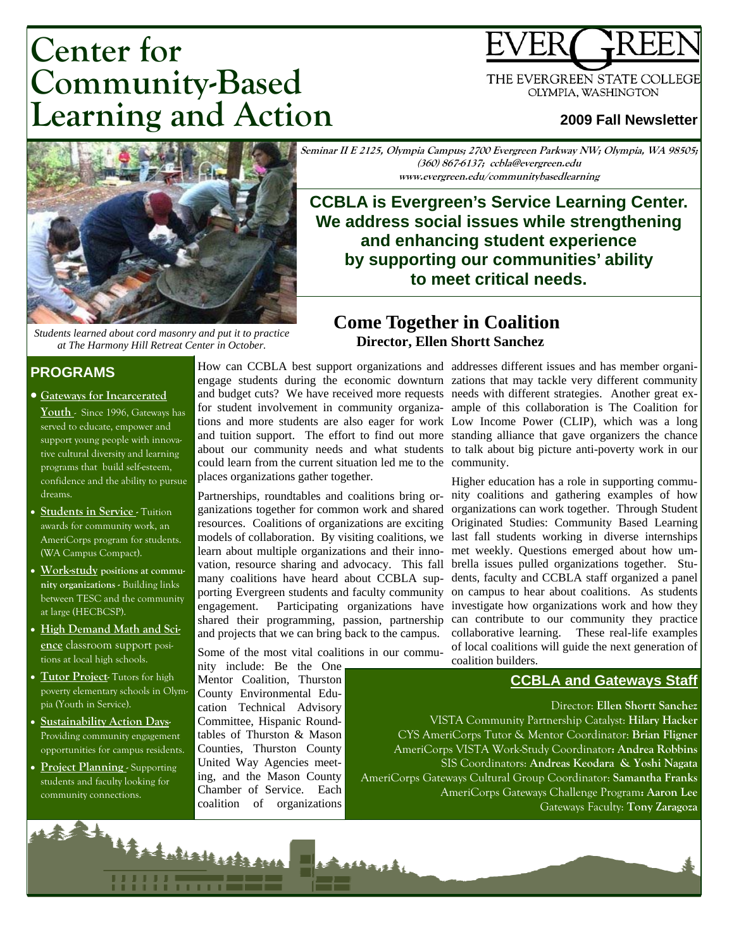# **Center for Community-Based Learning and Action**

THE EVERGREEN STATE COLLEGE OLYMPIA, WASHINGTON

#### **2009 Fall Newsletter**



**(360) 867-6137; ccbla@evergreen.edu www.evergreen.edu/communitybasedlearning** 

**CCBLA is Evergreen's Service Learning Center. We address social issues while strengthening and enhancing student experience by supporting our communities' ability to meet critical needs.** 

*Students learned about cord masonry and put it to practice at The Harmony Hill Retreat Center in October.* 

#### **PROGRAMS**

- **Gateways for Incarcerated Youth** - Since 1996, Gateways has served to educate, empower and support young people with innovative cultural diversity and learning programs that build self-esteem, confidence and the ability to pursue dreams.
- **Students in Service** Tuition awards for community work, an AmeriCorps program for students. (WA Campus Compact).
- **Work-study positions at community organizations -** Building links between TESC and the community at large (HECBCSP).
- **High Demand Math and Science** classroom support positions at local high schools.
- **Tutor Project-** Tutors for high poverty elementary schools in Olympia (Youth in Service).
- **Sustainability Action Days-**Providing community engagement opportunities for campus residents.
- **Project Planning** Supporting students and faculty looking for community connections.

And in the following of the same

engage students during the economic downturn zations that may tackle very different community and budget cuts? We have received more requests needs with different strategies. Another great exfor student involvement in community organiza-ample of this collaboration is The Coalition for tions and more students are also eager for work Low Income Power (CLIP), which was a long and tuition support. The effort to find out more standing alliance that gave organizers the chance about our community needs and what students to talk about big picture anti-poverty work in our could learn from the current situation led me to the community. places organizations gather together.

ganizations together for common work and shared resources. Coalitions of organizations are exciting models of collaboration. By visiting coalitions, we learn about multiple organizations and their innovation, resource sharing and advocacy. This fall many coalitions have heard about CCBLA supporting Evergreen students and faculty community engagement. Participating organizations have shared their programming, passion, partnership and projects that we can bring back to the campus.

Some of the most vital coalitions in our commu-

at Marsh

nity include: Be the One Mentor Coalition, Thurston County Environmental Education Technical Advisory Committee, Hispanic Roundtables of Thurston & Mason Counties, Thurston County United Way Agencies meeting, and the Mason County Chamber of Service. Each coalition of organizations

## **Come Together in Coalition Director, Ellen Shortt Sanchez**

How can CCBLA best support organizations and addresses different issues and has member organi-

Partnerships, roundtables and coalitions bring or-nity coalitions and gathering examples of how Higher education has a role in supporting commuorganizations can work together. Through Student Originated Studies: Community Based Learning last fall students working in diverse internships met weekly. Questions emerged about how umbrella issues pulled organizations together. Students, faculty and CCBLA staff organized a panel on campus to hear about coalitions. As students investigate how organizations work and how they can contribute to our community they practice collaborative learning. These real-life examples of local coalitions will guide the next generation of coalition builders.

#### **CCBLA and Gateways Staff**

#### Director: **Ellen Shortt Sanchez**  VISTA Community Partnership Catalyst: **Hilary Hacker**  CYS AmeriCorps Tutor & Mentor Coordinator: **Brian Fligner**  AmeriCorps VISTA Work-Study Coordinator**: Andrea Robbins**  SIS Coordinators: **Andreas Keodara & Yoshi Nagata**  AmeriCorps Gateways Cultural Group Coordinator: **Samantha Franks**

AmeriCorps Gateways Challenge Program**: Aaron Lee**  Gateways Faculty: **Tony Zaragoza**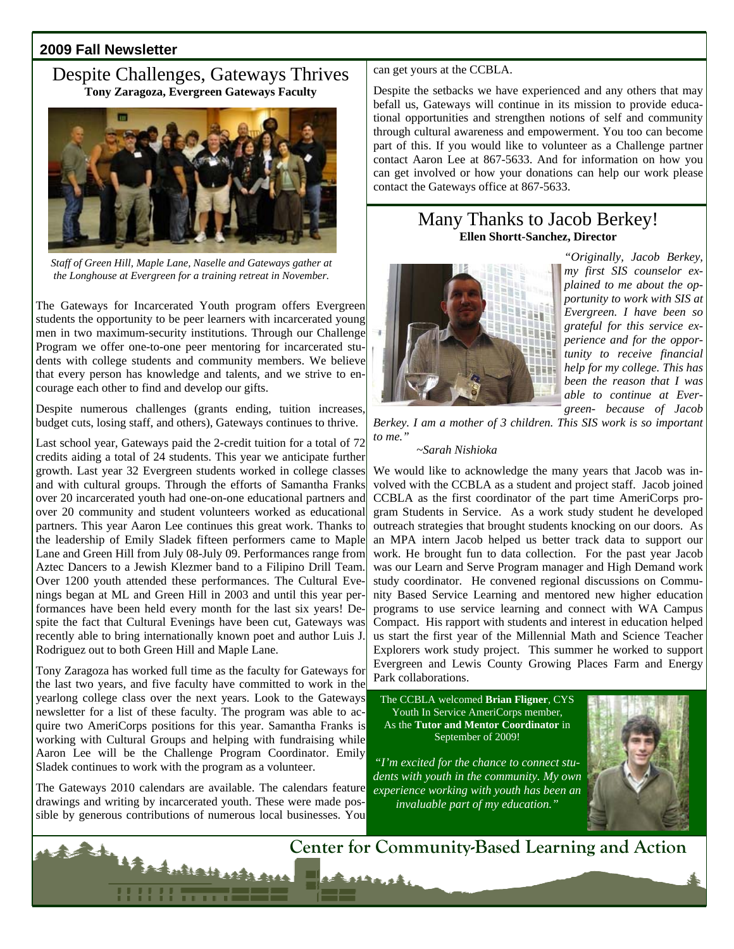#### **2009 Fall Newsletter**

# Despite Challenges, Gateways Thrives **Tony Zaragoza, Evergreen Gateways Faculty**



*Staff of Green Hill, Maple Lane, Naselle and Gateways gather at the Longhouse at Evergreen for a training retreat in November.* 

The Gateways for Incarcerated Youth program offers Evergreen students the opportunity to be peer learners with incarcerated young men in two maximum-security institutions. Through our Challenge Program we offer one-to-one peer mentoring for incarcerated students with college students and community members. We believe that every person has knowledge and talents, and we strive to encourage each other to find and develop our gifts.

Despite numerous challenges (grants ending, tuition increases, budget cuts, losing staff, and others), Gateways continues to thrive.

Last school year, Gateways paid the 2-credit tuition for a total of 72 credits aiding a total of 24 students. This year we anticipate further growth. Last year 32 Evergreen students worked in college classes and with cultural groups. Through the efforts of Samantha Franks over 20 incarcerated youth had one-on-one educational partners and over 20 community and student volunteers worked as educational partners. This year Aaron Lee continues this great work. Thanks to the leadership of Emily Sladek fifteen performers came to Maple Lane and Green Hill from July 08-July 09. Performances range from Aztec Dancers to a Jewish Klezmer band to a Filipino Drill Team. Over 1200 youth attended these performances. The Cultural Evenings began at ML and Green Hill in 2003 and until this year performances have been held every month for the last six years! Despite the fact that Cultural Evenings have been cut, Gateways was recently able to bring internationally known poet and author Luis J. Rodriguez out to both Green Hill and Maple Lane.

Tony Zaragoza has worked full time as the faculty for Gateways for the last two years, and five faculty have committed to work in the yearlong college class over the next years. Look to the Gateways newsletter for a list of these faculty. The program was able to acquire two AmeriCorps positions for this year. Samantha Franks is working with Cultural Groups and helping with fundraising while Aaron Lee will be the Challenge Program Coordinator. Emily Sladek continues to work with the program as a volunteer.

The Gateways 2010 calendars are available. The calendars feature drawings and writing by incarcerated youth. These were made possible by generous contributions of numerous local businesses. You

can get yours at the CCBLA.

Despite the setbacks we have experienced and any others that may befall us, Gateways will continue in its mission to provide educational opportunities and strengthen notions of self and community through cultural awareness and empowerment. You too can become part of this. If you would like to volunteer as a Challenge partner contact Aaron Lee at 867-5633. And for information on how you can get involved or how your donations can help our work please contact the Gateways office at 867-5633.

# Many Thanks to Jacob Berkey! **Ellen Shortt-Sanchez, Director**



*"Originally, Jacob Berkey, my first SIS counselor explained to me about the opportunity to work with SIS at Evergreen. I have been so grateful for this service experience and for the opportunity to receive financial help for my college. This has been the reason that I was able to continue at Evergreen- because of Jacob* 

*Berkey. I am a mother of 3 children. This SIS work is so important to me."* 

#### *~Sarah Nishioka*

We would like to acknowledge the many years that Jacob was involved with the CCBLA as a student and project staff. Jacob joined CCBLA as the first coordinator of the part time AmeriCorps program Students in Service. As a work study student he developed outreach strategies that brought students knocking on our doors. As an MPA intern Jacob helped us better track data to support our work. He brought fun to data collection. For the past year Jacob was our Learn and Serve Program manager and High Demand work study coordinator. He convened regional discussions on Community Based Service Learning and mentored new higher education programs to use service learning and connect with WA Campus Compact. His rapport with students and interest in education helped us start the first year of the Millennial Math and Science Teacher Explorers work study project. This summer he worked to support Evergreen and Lewis County Growing Places Farm and Energy Park collaborations.

The CCBLA welcomed **Brian Fligner**, CYS Youth In Service AmeriCorps member, As the **Tutor and Mentor Coordinator** in September of 2009!

*"I'm excited for the chance to connect students with youth in the community. My own experience working with youth has been an invaluable part of my education."* 

Assistants.



Center for Community-Based Learning and Action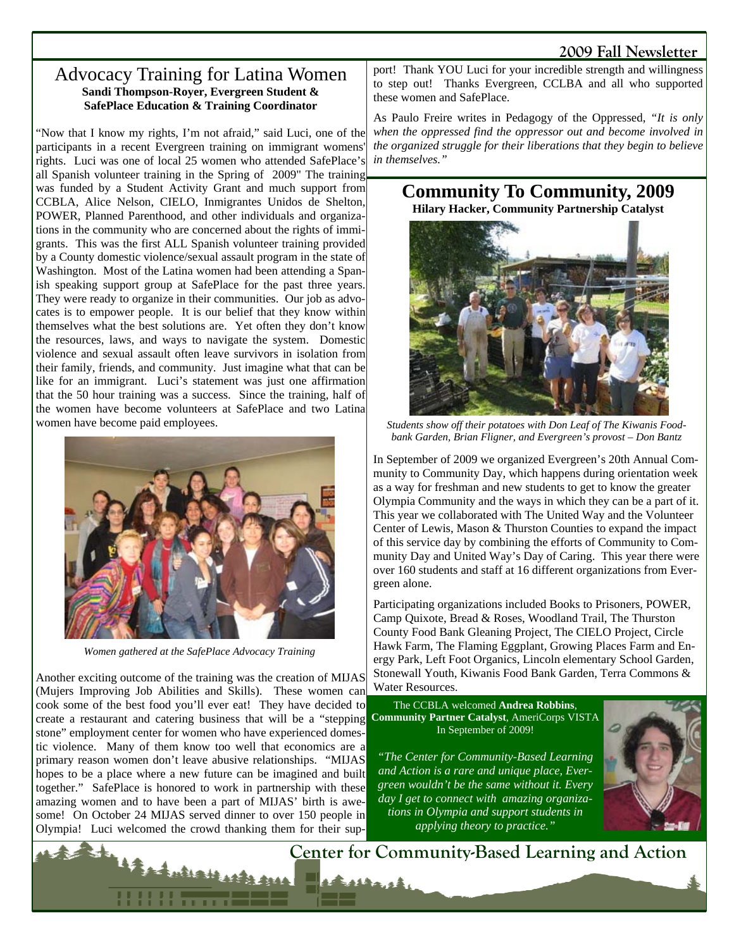## **2009 Fall Newsletter**

#### Advocacy Training for Latina Women **Sandi Thompson-Royer, Evergreen Student & SafePlace Education & Training Coordinator**

"Now that I know my rights, I'm not afraid," said Luci, one of the participants in a recent Evergreen training on immigrant womens' rights. Luci was one of local 25 women who attended SafePlace's all Spanish volunteer training in the Spring of 2009" The training was funded by a Student Activity Grant and much support from CCBLA, Alice Nelson, CIELO, Inmigrantes Unidos de Shelton, POWER, Planned Parenthood, and other individuals and organizations in the community who are concerned about the rights of immigrants. This was the first ALL Spanish volunteer training provided by a County domestic violence/sexual assault program in the state of Washington. Most of the Latina women had been attending a Spanish speaking support group at SafePlace for the past three years. They were ready to organize in their communities. Our job as advocates is to empower people. It is our belief that they know within themselves what the best solutions are. Yet often they don't know the resources, laws, and ways to navigate the system. Domestic violence and sexual assault often leave survivors in isolation from their family, friends, and community. Just imagine what that can be like for an immigrant. Luci's statement was just one affirmation that the 50 hour training was a success. Since the training, half of the women have become volunteers at SafePlace and two Latina women have become paid employees.



*Women gathered at the SafePlace Advocacy Training* 

Another exciting outcome of the training was the creation of MIJAS (Mujers Improving Job Abilities and Skills). These women can cook some of the best food you'll ever eat! They have decided to create a restaurant and catering business that will be a "stepping stone" employment center for women who have experienced domestic violence. Many of them know too well that economics are a primary reason women don't leave abusive relationships. "MIJAS hopes to be a place where a new future can be imagined and built together." SafePlace is honored to work in partnership with these amazing women and to have been a part of MIJAS' birth is awesome! On October 24 MIJAS served dinner to over 150 people in Olympia! Luci welcomed the crowd thanking them for their sup-

port! Thank YOU Luci for your incredible strength and willingness to step out! Thanks Evergreen, CCLBA and all who supported these women and SafePlace.

As Paulo Freire writes in Pedagogy of the Oppressed, *"It is only when the oppressed find the oppressor out and become involved in the organized struggle for their liberations that they begin to believe in themselves."* 

# **Community To Community, 2009**

**Hilary Hacker, Community Partnership Catalyst** 



*Students show off their potatoes with Don Leaf of The Kiwanis Foodbank Garden, Brian Fligner, and Evergreen's provost – Don Bantz* 

In September of 2009 we organized Evergreen's 20th Annual Community to Community Day, which happens during orientation week as a way for freshman and new students to get to know the greater Olympia Community and the ways in which they can be a part of it. This year we collaborated with The United Way and the Volunteer Center of Lewis, Mason & Thurston Counties to expand the impact of this service day by combining the efforts of Community to Community Day and United Way's Day of Caring. This year there were over 160 students and staff at 16 different organizations from Evergreen alone.

Participating organizations included Books to Prisoners, POWER, Camp Quixote, Bread & Roses, Woodland Trail, The Thurston County Food Bank Gleaning Project, The CIELO Project, Circle Hawk Farm, The Flaming Eggplant, Growing Places Farm and Energy Park, Left Foot Organics, Lincoln elementary School Garden, Stonewall Youth, Kiwanis Food Bank Garden, Terra Commons & Water Resources.

The CCBLA welcomed **Andrea Robbins**, **Community Partner Catalyst**, AmeriCorps VISTA In September of 2009!

*"The Center for Community-Based Learning and Action is a rare and unique place, Evergreen wouldn't be the same without it. Every day I get to connect with amazing organizations in Olympia and support students in applying theory to practice."*